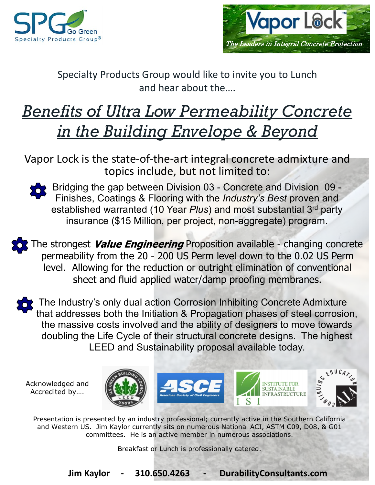



Specialty Products Group would like to invite you to Lunch and hear about the….

## *Benefits of Ultra Low Permeability Concrete in the Building Envelope & Beyond*

Vapor Lock is the state-of-the-art integral concrete admixture and topics include, but not limited to:



Bridging the gap between Division 03 - Concrete and Division 09 - Finishes, Coatings & Flooring with the *Industry's Best* proven and established warranted (10 Year *Plus*) and most substantial 3rd party insurance (\$15 Million, per project, non-aggregate) program.

The strongest Value Engineering Proposition available - changing concrete permeability from the 20 - 200 US Perm level down to the 0.02 US Perm level. Allowing for the reduction or outright elimination of conventional sheet and fluid applied water/damp proofing membranes.

The Industry's only dual action Corrosion Inhibiting Concrete Admixture that addresses both the Initiation & Propagation phases of steel corrosion, the massive costs involved and the ability of designers to move towards doubling the Life Cycle of their structural concrete designs. The highest LEED and Sustainability proposal available today.

Acknowledged and Accredited by….







**SUSTAINABLE INFRASTRUCTURE** 

Presentation is presented by an industry professional; currently active in the Southern California and Western US. Jim Kaylor currently sits on numerous National ACI, ASTM C09, D08, & G01 committees. He is an active member in numerous associations.

Breakfast or Lunch is professionally catered.

**Jim Kaylor - 310.650.4263 - DurabilityConsultants.com**